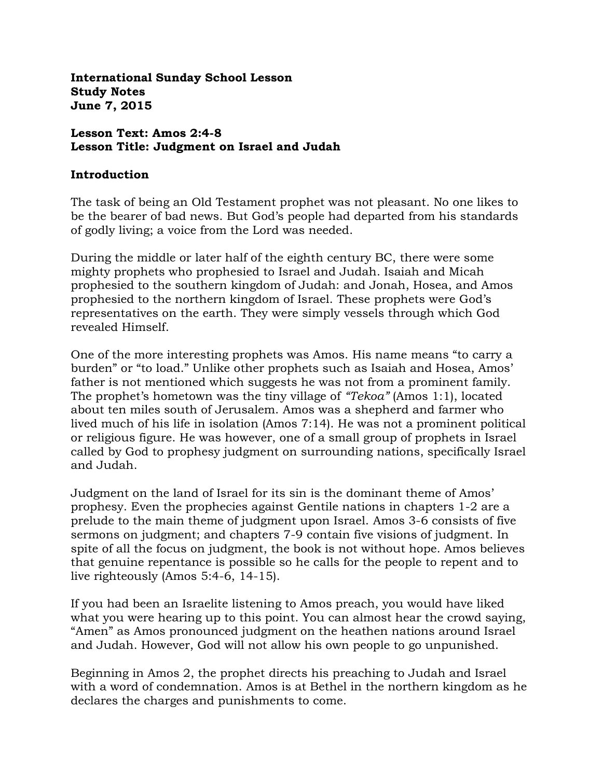**International Sunday School Lesson Study Notes June 7, 2015**

### **Lesson Text: Amos 2:4-8 Lesson Title: Judgment on Israel and Judah**

#### **Introduction**

The task of being an Old Testament prophet was not pleasant. No one likes to be the bearer of bad news. But God's people had departed from his standards of godly living; a voice from the Lord was needed.

During the middle or later half of the eighth century BC, there were some mighty prophets who prophesied to Israel and Judah. Isaiah and Micah prophesied to the southern kingdom of Judah: and Jonah, Hosea, and Amos prophesied to the northern kingdom of Israel. These prophets were God's representatives on the earth. They were simply vessels through which God revealed Himself.

One of the more interesting prophets was Amos. His name means "to carry a burden" or "to load." Unlike other prophets such as Isaiah and Hosea, Amos' father is not mentioned which suggests he was not from a prominent family. The prophet's hometown was the tiny village of *"Tekoa"* (Amos 1:1), located about ten miles south of Jerusalem. Amos was a shepherd and farmer who lived much of his life in isolation (Amos 7:14). He was not a prominent political or religious figure. He was however, one of a small group of prophets in Israel called by God to prophesy judgment on surrounding nations, specifically Israel and Judah.

Judgment on the land of Israel for its sin is the dominant theme of Amos' prophesy. Even the prophecies against Gentile nations in chapters 1-2 are a prelude to the main theme of judgment upon Israel. Amos 3-6 consists of five sermons on judgment; and chapters 7-9 contain five visions of judgment. In spite of all the focus on judgment, the book is not without hope. Amos believes that genuine repentance is possible so he calls for the people to repent and to live righteously (Amos 5:4-6, 14-15).

If you had been an Israelite listening to Amos preach, you would have liked what you were hearing up to this point. You can almost hear the crowd saying, "Amen" as Amos pronounced judgment on the heathen nations around Israel and Judah. However, God will not allow his own people to go unpunished.

Beginning in Amos 2, the prophet directs his preaching to Judah and Israel with a word of condemnation. Amos is at Bethel in the northern kingdom as he declares the charges and punishments to come.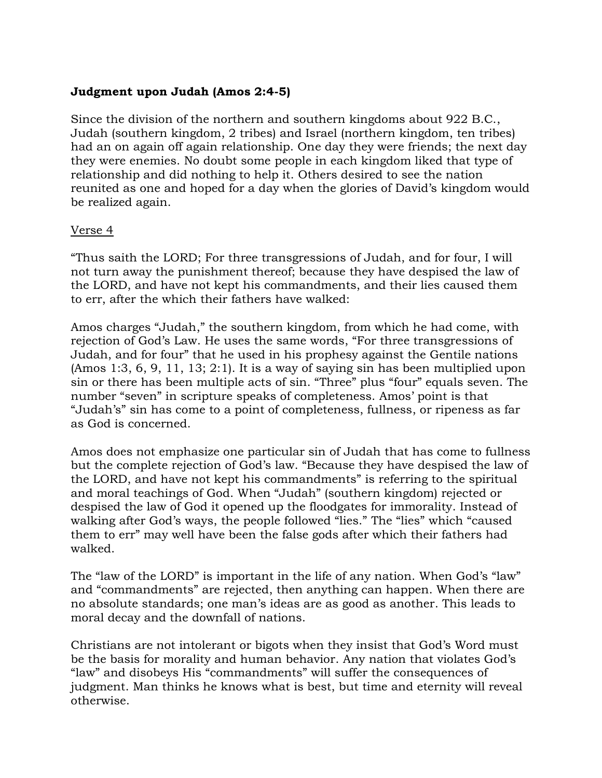## **Judgment upon Judah (Amos 2:4-5)**

Since the division of the northern and southern kingdoms about 922 B.C., Judah (southern kingdom, 2 tribes) and Israel (northern kingdom, ten tribes) had an on again off again relationship. One day they were friends; the next day they were enemies. No doubt some people in each kingdom liked that type of relationship and did nothing to help it. Others desired to see the nation reunited as one and hoped for a day when the glories of David's kingdom would be realized again.

### Verse 4

"Thus saith the LORD; For three transgressions of Judah, and for four, I will not turn away the punishment thereof; because they have despised the law of the LORD, and have not kept his commandments, and their lies caused them to err, after the which their fathers have walked:

Amos charges "Judah," the southern kingdom, from which he had come, with rejection of God's Law. He uses the same words, "For three transgressions of Judah, and for four" that he used in his prophesy against the Gentile nations (Amos 1:3, 6, 9, 11, 13; 2:1). It is a way of saying sin has been multiplied upon sin or there has been multiple acts of sin. "Three" plus "four" equals seven. The number "seven" in scripture speaks of completeness. Amos' point is that "Judah's" sin has come to a point of completeness, fullness, or ripeness as far as God is concerned.

Amos does not emphasize one particular sin of Judah that has come to fullness but the complete rejection of God's law. "Because they have despised the law of the LORD, and have not kept his commandments" is referring to the spiritual and moral teachings of God. When "Judah" (southern kingdom) rejected or despised the law of God it opened up the floodgates for immorality. Instead of walking after God's ways, the people followed "lies." The "lies" which "caused them to err" may well have been the false gods after which their fathers had walked.

The "law of the LORD" is important in the life of any nation. When God's "law" and "commandments" are rejected, then anything can happen. When there are no absolute standards; one man's ideas are as good as another. This leads to moral decay and the downfall of nations.

Christians are not intolerant or bigots when they insist that God's Word must be the basis for morality and human behavior. Any nation that violates God's "law" and disobeys His "commandments" will suffer the consequences of judgment. Man thinks he knows what is best, but time and eternity will reveal otherwise.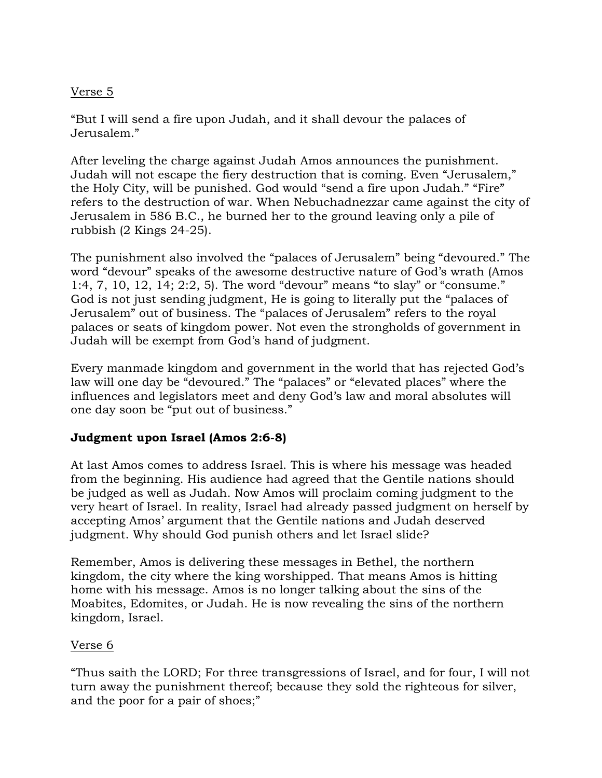## Verse 5

"But I will send a fire upon Judah, and it shall devour the palaces of Jerusalem."

After leveling the charge against Judah Amos announces the punishment. Judah will not escape the fiery destruction that is coming. Even "Jerusalem," the Holy City, will be punished. God would "send a fire upon Judah." "Fire" refers to the destruction of war. When Nebuchadnezzar came against the city of Jerusalem in 586 B.C., he burned her to the ground leaving only a pile of rubbish (2 Kings 24-25).

The punishment also involved the "palaces of Jerusalem" being "devoured." The word "devour" speaks of the awesome destructive nature of God's wrath (Amos 1:4, 7, 10, 12, 14; 2:2, 5). The word "devour" means "to slay" or "consume." God is not just sending judgment, He is going to literally put the "palaces of Jerusalem" out of business. The "palaces of Jerusalem" refers to the royal palaces or seats of kingdom power. Not even the strongholds of government in Judah will be exempt from God's hand of judgment.

Every manmade kingdom and government in the world that has rejected God's law will one day be "devoured." The "palaces" or "elevated places" where the influences and legislators meet and deny God's law and moral absolutes will one day soon be "put out of business."

### **Judgment upon Israel (Amos 2:6-8)**

At last Amos comes to address Israel. This is where his message was headed from the beginning. His audience had agreed that the Gentile nations should be judged as well as Judah. Now Amos will proclaim coming judgment to the very heart of Israel. In reality, Israel had already passed judgment on herself by accepting Amos' argument that the Gentile nations and Judah deserved judgment. Why should God punish others and let Israel slide?

Remember, Amos is delivering these messages in Bethel, the northern kingdom, the city where the king worshipped. That means Amos is hitting home with his message. Amos is no longer talking about the sins of the Moabites, Edomites, or Judah. He is now revealing the sins of the northern kingdom, Israel.

### Verse 6

"Thus saith the LORD; For three transgressions of Israel, and for four, I will not turn away the punishment thereof; because they sold the righteous for silver, and the poor for a pair of shoes;"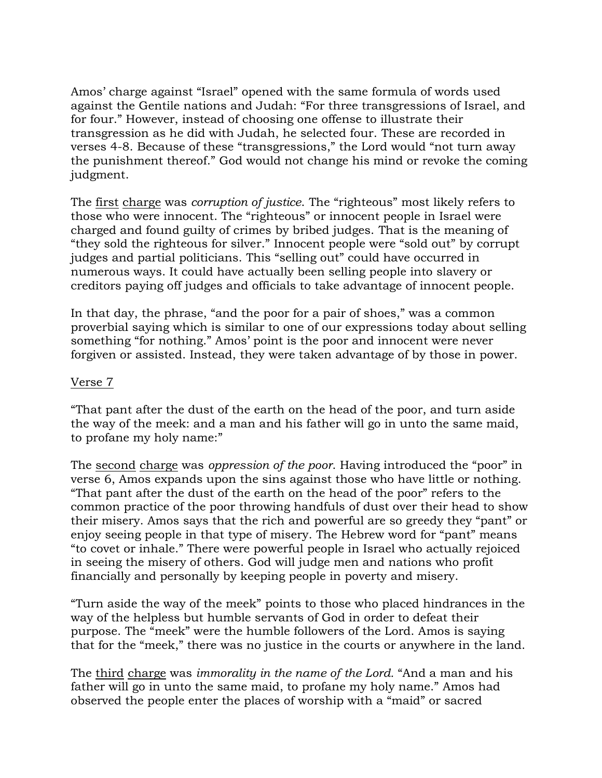Amos' charge against "Israel" opened with the same formula of words used against the Gentile nations and Judah: "For three transgressions of Israel, and for four." However, instead of choosing one offense to illustrate their transgression as he did with Judah, he selected four. These are recorded in verses 4-8. Because of these "transgressions," the Lord would "not turn away the punishment thereof." God would not change his mind or revoke the coming judgment.

The first charge was *corruption of justice*. The "righteous" most likely refers to those who were innocent. The "righteous" or innocent people in Israel were charged and found guilty of crimes by bribed judges. That is the meaning of "they sold the righteous for silver." Innocent people were "sold out" by corrupt judges and partial politicians. This "selling out" could have occurred in numerous ways. It could have actually been selling people into slavery or creditors paying off judges and officials to take advantage of innocent people.

In that day, the phrase, "and the poor for a pair of shoes," was a common proverbial saying which is similar to one of our expressions today about selling something "for nothing." Amos' point is the poor and innocent were never forgiven or assisted. Instead, they were taken advantage of by those in power.

### Verse 7

"That pant after the dust of the earth on the head of the poor, and turn aside the way of the meek: and a man and his father will go in unto the same maid, to profane my holy name:"

The second charge was *oppression of the poor*. Having introduced the "poor" in verse 6, Amos expands upon the sins against those who have little or nothing. "That pant after the dust of the earth on the head of the poor" refers to the common practice of the poor throwing handfuls of dust over their head to show their misery. Amos says that the rich and powerful are so greedy they "pant" or enjoy seeing people in that type of misery. The Hebrew word for "pant" means "to covet or inhale." There were powerful people in Israel who actually rejoiced in seeing the misery of others. God will judge men and nations who profit financially and personally by keeping people in poverty and misery.

"Turn aside the way of the meek" points to those who placed hindrances in the way of the helpless but humble servants of God in order to defeat their purpose. The "meek" were the humble followers of the Lord. Amos is saying that for the "meek," there was no justice in the courts or anywhere in the land.

The third charge was *immorality in the name of the Lord.* "And a man and his father will go in unto the same maid, to profane my holy name." Amos had observed the people enter the places of worship with a "maid" or sacred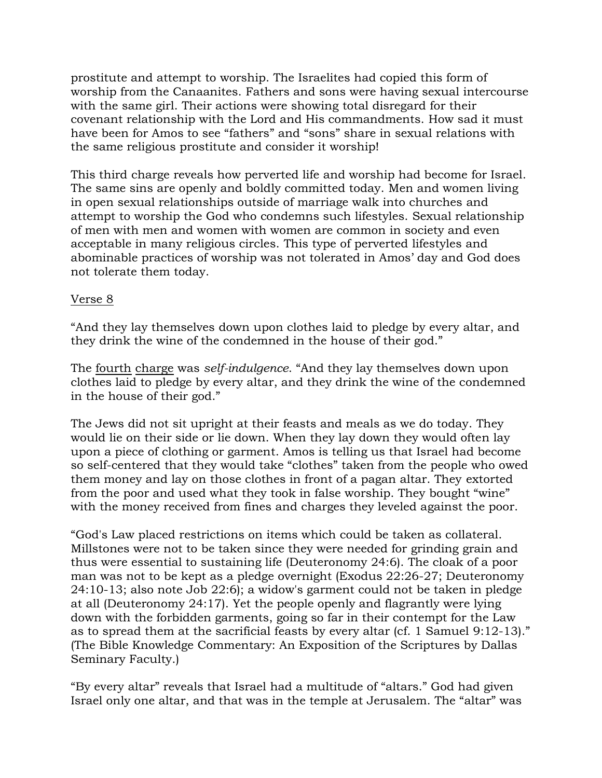prostitute and attempt to worship. The Israelites had copied this form of worship from the Canaanites. Fathers and sons were having sexual intercourse with the same girl. Their actions were showing total disregard for their covenant relationship with the Lord and His commandments. How sad it must have been for Amos to see "fathers" and "sons" share in sexual relations with the same religious prostitute and consider it worship!

This third charge reveals how perverted life and worship had become for Israel. The same sins are openly and boldly committed today. Men and women living in open sexual relationships outside of marriage walk into churches and attempt to worship the God who condemns such lifestyles. Sexual relationship of men with men and women with women are common in society and even acceptable in many religious circles. This type of perverted lifestyles and abominable practices of worship was not tolerated in Amos' day and God does not tolerate them today.

## Verse 8

"And they lay themselves down upon clothes laid to pledge by every altar, and they drink the wine of the condemned in the house of their god."

The fourth charge was *self-indulgence*. "And they lay themselves down upon clothes laid to pledge by every altar, and they drink the wine of the condemned in the house of their god."

The Jews did not sit upright at their feasts and meals as we do today. They would lie on their side or lie down. When they lay down they would often lay upon a piece of clothing or garment. Amos is telling us that Israel had become so self-centered that they would take "clothes" taken from the people who owed them money and lay on those clothes in front of a pagan altar. They extorted from the poor and used what they took in false worship. They bought "wine" with the money received from fines and charges they leveled against the poor.

"God's Law placed restrictions on items which could be taken as collateral. Millstones were not to be taken since they were needed for grinding grain and thus were essential to sustaining life (Deuteronomy 24:6). The cloak of a poor man was not to be kept as a pledge overnight (Exodus 22:26-27; Deuteronomy 24:10-13; also note Job 22:6); a widow's garment could not be taken in pledge at all (Deuteronomy 24:17). Yet the people openly and flagrantly were lying down with the forbidden garments, going so far in their contempt for the Law as to spread them at the sacrificial feasts by every altar (cf. 1 Samuel 9:12-13)." (The Bible Knowledge Commentary: An Exposition of the Scriptures by Dallas Seminary Faculty.)

"By every altar" reveals that Israel had a multitude of "altars." God had given Israel only one altar, and that was in the temple at Jerusalem. The "altar" was